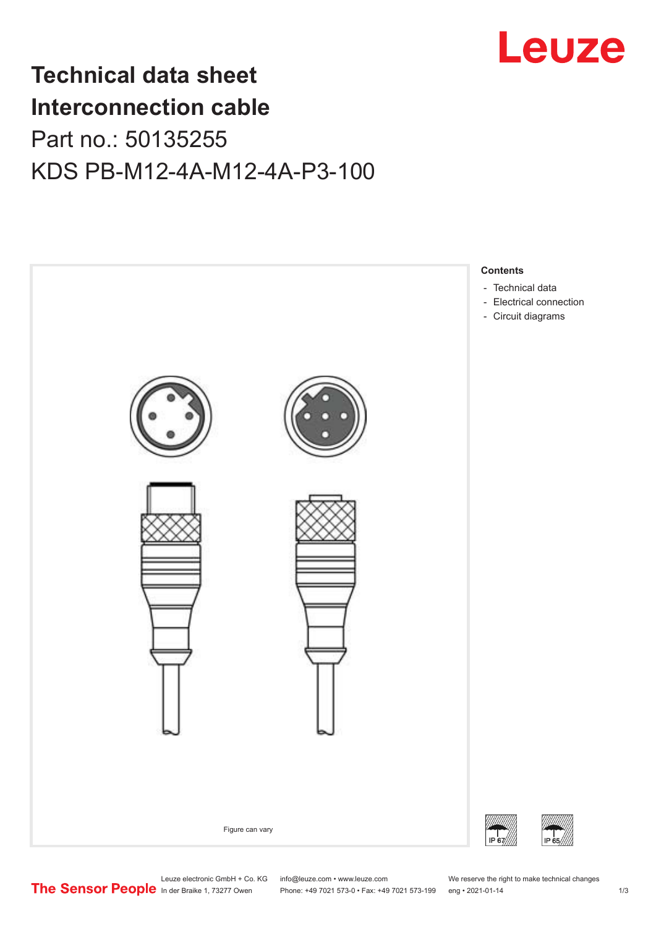

## **Technical data sheet Interconnection cable** Part no.: 50135255 KDS PB-M12-4A-M12-4A-P3-100



Leuze electronic GmbH + Co. KG info@leuze.com • www.leuze.com We reserve the right to make technical changes<br>
The Sensor People in der Braike 1, 73277 Owen Phone: +49 7021 573-0 • Fax: +49 7021 573-199 eng • 2021-01-14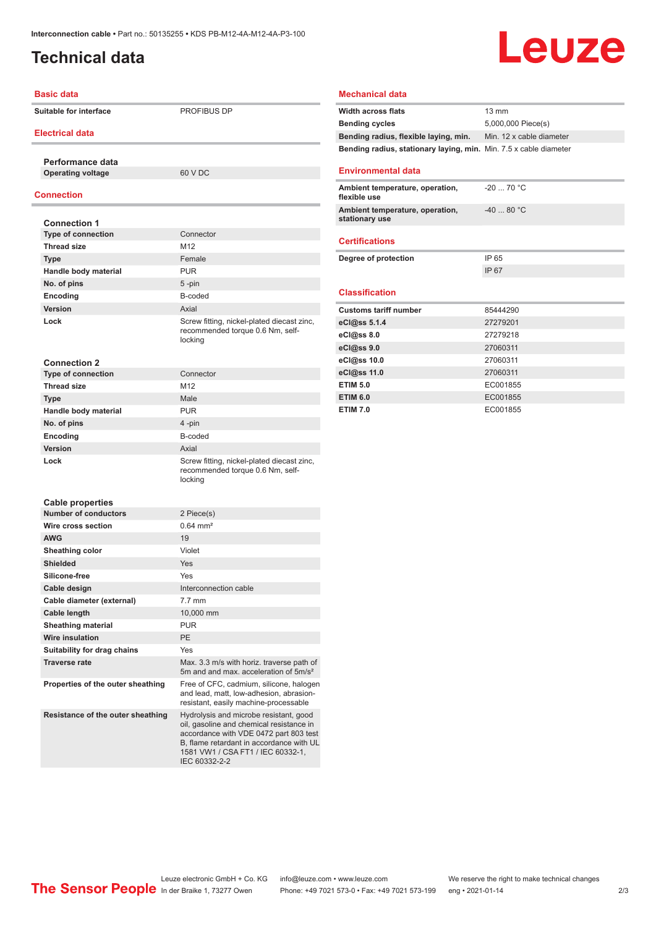## <span id="page-1-0"></span>**Technical data**

# Leuze

#### **Basic data**

**Suitable for interface** PROFIBUS DP

#### **Electrical data**

**Performance data Operating voltage** 60 V DC

#### **Connection**

| <b>Connection 1</b>         |                                                                                           |
|-----------------------------|-------------------------------------------------------------------------------------------|
| <b>Type of connection</b>   | Connector                                                                                 |
| <b>Thread size</b>          | M <sub>12</sub>                                                                           |
| <b>Type</b>                 | Female                                                                                    |
| Handle body material        | <b>PUR</b>                                                                                |
| No. of pins                 | 5-pin                                                                                     |
| Encoding                    | B-coded                                                                                   |
| Version                     | Axial                                                                                     |
| Lock                        | Screw fitting, nickel-plated diecast zinc,<br>recommended torque 0.6 Nm, self-<br>locking |
| <b>Connection 2</b>         |                                                                                           |
| <b>Type of connection</b>   | Connector                                                                                 |
| <b>Thread size</b>          | M <sub>12</sub>                                                                           |
| <b>Type</b>                 | Male                                                                                      |
| Handle body material        | <b>PUR</b>                                                                                |
| No. of pins                 | 4-pin                                                                                     |
| Encoding                    | B-coded                                                                                   |
| Version                     | Axial                                                                                     |
| Lock                        | Screw fitting, nickel-plated diecast zinc,<br>recommended torque 0.6 Nm, self-<br>locking |
| <b>Cable properties</b>     |                                                                                           |
| <b>Number of conductors</b> | 2 Piece(s)                                                                                |
| Wire cross section          | $0.64 \, \text{mm}^2$                                                                     |
| <b>AWG</b>                  | 19                                                                                        |
| Sheathing color             | Violet                                                                                    |
| <b>Shielded</b>             | Yes                                                                                       |
| Silicone-free               | Yes                                                                                       |

| Silicone-free                     | <b>Yes</b>                                                                                                                  |
|-----------------------------------|-----------------------------------------------------------------------------------------------------------------------------|
| Cable design                      | Interconnection cable                                                                                                       |
| Cable diameter (external)         | $7.7 \text{ mm}$                                                                                                            |
| <b>Cable length</b>               | 10,000 mm                                                                                                                   |
| <b>Sheathing material</b>         | <b>PUR</b>                                                                                                                  |
| Wire insulation                   | <b>PE</b>                                                                                                                   |
| Suitability for drag chains       | Yes                                                                                                                         |
| <b>Traverse rate</b>              | Max. 3.3 m/s with horiz. traverse path of<br>5m and and max, acceleration of 5m/s <sup>2</sup>                              |
| Properties of the outer sheathing | Free of CFC, cadmium, silicone, halogen<br>and lead, matt, low-adhesion, abrasion-<br>resistant, easily machine-processable |
| Resistance of the outer sheathing | Hydrolysis and microbe resistant, good<br>oil, gasoline and chemical resistance in                                          |

IEC 60332-2-2

accordance with VDE 0472 part 803 test B, flame retardant in accordance with UL 1581 VW1 / CSA FT1 / IEC 60332-1,

## **Mechanical data**

| <b>Width across flats</b>                                                | 13 mm                    |
|--------------------------------------------------------------------------|--------------------------|
| <b>Bending cycles</b>                                                    | 5,000,000 Piece(s)       |
| Bending radius, flexible laying, min.                                    | Min. 12 x cable diameter |
| <b>Bending radius, stationary laying, min.</b> Min. 7.5 x cable diameter |                          |
| <b>Environmental data</b>                                                |                          |
| Ambient temperature, operation,<br>flexible use                          | $-20$ 70 °C              |
| Ambient temperature, operation,<br>stationary use                        | $-4080 °C$               |
| <b>Certifications</b>                                                    |                          |
| Degree of protection                                                     | IP 65                    |
|                                                                          | IP 67                    |
| <b>Classification</b>                                                    |                          |
| <b>Customs tariff number</b>                                             | 85444290                 |
|                                                                          | 27279201                 |
| eCl@ss 5.1.4                                                             |                          |
| eCl@ss 8.0                                                               | 27279218                 |
| eCl@ss 9.0                                                               | 27060311                 |
| eCl@ss 10.0                                                              | 27060311                 |
| eCl@ss 11.0                                                              | 27060311                 |
| <b>ETIM 5.0</b>                                                          | EC001855                 |
|                                                                          |                          |
| <b>ETIM 6.0</b>                                                          | EC001855                 |

Leuze electronic GmbH + Co. KG info@leuze.com • www.leuze.com We reserve the right to make technical changes<br>
The Sensor People in der Braike 1, 73277 Owen Phone: +49 7021 573-0 • Fax: +49 7021 573-199 eng • 2021-01-14